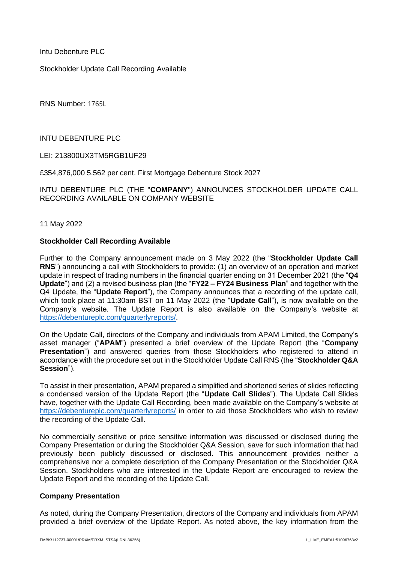Intu Debenture PLC

Stockholder Update Call Recording Available

RNS Number: 1765L

INTU DEBENTURE PLC

LEI: 213800UX3TM5RGB1UF29

£354,876,000 5.562 per cent. First Mortgage Debenture Stock 2027

INTU DEBENTURE PLC (THE "**COMPANY**") ANNOUNCES STOCKHOLDER UPDATE CALL RECORDING AVAILABLE ON COMPANY WEBSITE

11 May 2022

#### **Stockholder Call Recording Available**

Further to the Company announcement made on 3 May 2022 (the "**Stockholder Update Call RNS**") announcing a call with Stockholders to provide: (1) an overview of an operation and market update in respect of trading numbers in the financial quarter ending on 31 December 2021 (the "**Q4 Update**") and (2) a revised business plan (the "**FY22 – FY24 Business Plan**" and together with the Q4 Update, the "**Update Report**"), the Company announces that a recording of the update call, which took place at 11:30am BST on 11 May 2022 (the "**Update Call**"), is now available on the Company's website. The Update Report is also available on the Company's website at [https://debentureplc.com/quarterlyreports/.](https://debentureplc.com/quarterlyreports/)

On the Update Call, directors of the Company and individuals from APAM Limited, the Company's asset manager ("**APAM**") presented a brief overview of the Update Report (the "**Company Presentation**") and answered queries from those Stockholders who registered to attend in accordance with the procedure set out in the Stockholder Update Call RNS (the "**Stockholder Q&A Session**").

To assist in their presentation, APAM prepared a simplified and shortened series of slides reflecting a condensed version of the Update Report (the "**Update Call Slides**"). The Update Call Slides have, together with the Update Call Recording, been made available on the Company's website at <https://debentureplc.com/quarterlyreports/> in order to aid those Stockholders who wish to review the recording of the Update Call.

No commercially sensitive or price sensitive information was discussed or disclosed during the Company Presentation or during the Stockholder Q&A Session, save for such information that had previously been publicly discussed or disclosed. This announcement provides neither a comprehensive nor a complete description of the Company Presentation or the Stockholder Q&A Session. Stockholders who are interested in the Update Report are encouraged to review the Update Report and the recording of the Update Call.

#### **Company Presentation**

As noted, during the Company Presentation, directors of the Company and individuals from APAM provided a brief overview of the Update Report. As noted above, the key information from the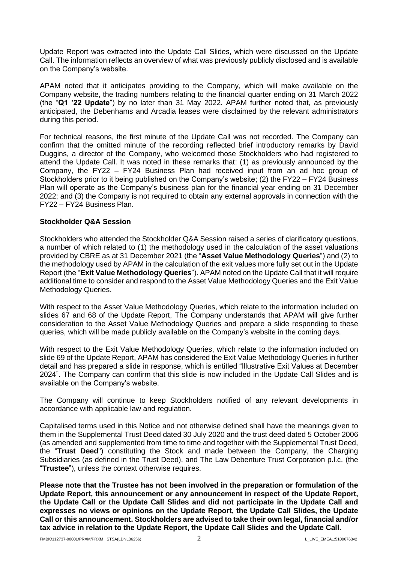Update Report was extracted into the Update Call Slides, which were discussed on the Update Call. The information reflects an overview of what was previously publicly disclosed and is available on the Company's website.

APAM noted that it anticipates providing to the Company, which will make available on the Company website, the trading numbers relating to the financial quarter ending on 31 March 2022 (the "**Q1 '22 Update**") by no later than 31 May 2022. APAM further noted that, as previously anticipated, the Debenhams and Arcadia leases were disclaimed by the relevant administrators during this period.

For technical reasons, the first minute of the Update Call was not recorded. The Company can confirm that the omitted minute of the recording reflected brief introductory remarks by David Duggins, a director of the Company, who welcomed those Stockholders who had registered to attend the Update Call. It was noted in these remarks that: (1) as previously announced by the Company, the FY22 – FY24 Business Plan had received input from an ad hoc group of Stockholders prior to it being published on the Company's website; (2) the FY22 – FY24 Business Plan will operate as the Company's business plan for the financial year ending on 31 December 2022; and (3) the Company is not required to obtain any external approvals in connection with the FY22 – FY24 Business Plan.

## **Stockholder Q&A Session**

Stockholders who attended the Stockholder Q&A Session raised a series of clarificatory questions, a number of which related to (1) the methodology used in the calculation of the asset valuations provided by CBRE as at 31 December 2021 (the "**Asset Value Methodology Queries**") and (2) to the methodology used by APAM in the calculation of the exit values more fully set out in the Update Report (the "**Exit Value Methodology Queries**"). APAM noted on the Update Call that it will require additional time to consider and respond to the Asset Value Methodology Queries and the Exit Value Methodology Queries.

With respect to the Asset Value Methodology Queries, which relate to the information included on slides 67 and 68 of the Update Report, The Company understands that APAM will give further consideration to the Asset Value Methodology Queries and prepare a slide responding to these queries, which will be made publicly available on the Company's website in the coming days.

With respect to the Exit Value Methodology Queries, which relate to the information included on slide 69 of the Update Report, APAM has considered the Exit Value Methodology Queries in further detail and has prepared a slide in response, which is entitled "Illustrative Exit Values at December 2024". The Company can confirm that this slide is now included in the Update Call Slides and is available on the Company's website.

The Company will continue to keep Stockholders notified of any relevant developments in accordance with applicable law and regulation.

Capitalised terms used in this Notice and not otherwise defined shall have the meanings given to them in the Supplemental Trust Deed dated 30 July 2020 and the trust deed dated 5 October 2006 (as amended and supplemented from time to time and together with the Supplemental Trust Deed, the "**Trust Deed**") constituting the Stock and made between the Company, the Charging Subsidiaries (as defined in the Trust Deed), and The Law Debenture Trust Corporation p.l.c. (the "**Trustee**"), unless the context otherwise requires.

**Please note that the Trustee has not been involved in the preparation or formulation of the Update Report, this announcement or any announcement in respect of the Update Report, the Update Call or the Update Call Slides and did not participate in the Update Call and expresses no views or opinions on the Update Report, the Update Call Slides, the Update Call or this announcement. Stockholders are advised to take their own legal, financial and/or tax advice in relation to the Update Report, the Update Call Slides and the Update Call.**